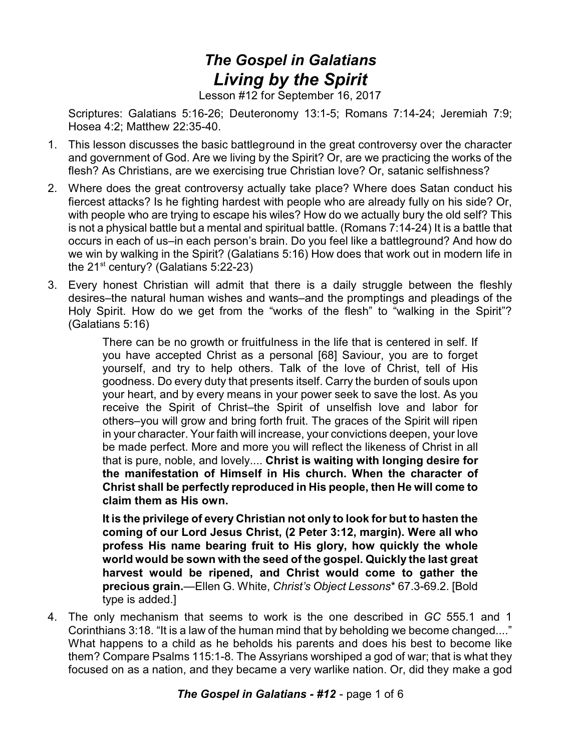## *The Gospel in Galatians Living by the Spirit*

Lesson #12 for September 16, 2017

Scriptures: Galatians 5:16-26; Deuteronomy 13:1-5; Romans 7:14-24; Jeremiah 7:9; Hosea 4:2; Matthew 22:35-40.

- 1. This lesson discusses the basic battleground in the great controversy over the character and government of God. Are we living by the Spirit? Or, are we practicing the works of the flesh? As Christians, are we exercising true Christian love? Or, satanic selfishness?
- 2. Where does the great controversy actually take place? Where does Satan conduct his fiercest attacks? Is he fighting hardest with people who are already fully on his side? Or, with people who are trying to escape his wiles? How do we actually bury the old self? This is not a physical battle but a mental and spiritual battle. (Romans 7:14-24) It is a battle that occurs in each of us–in each person's brain. Do you feel like a battleground? And how do we win by walking in the Spirit? (Galatians 5:16) How does that work out in modern life in the 21<sup>st</sup> century? (Galatians 5:22-23)
- 3. Every honest Christian will admit that there is a daily struggle between the fleshly desires–the natural human wishes and wants–and the promptings and pleadings of the Holy Spirit. How do we get from the "works of the flesh" to "walking in the Spirit"? (Galatians 5:16)

There can be no growth or fruitfulness in the life that is centered in self. If you have accepted Christ as a personal [68] Saviour, you are to forget yourself, and try to help others. Talk of the love of Christ, tell of His goodness. Do every duty that presents itself. Carry the burden of souls upon your heart, and by every means in your power seek to save the lost. As you receive the Spirit of Christ–the Spirit of unselfish love and labor for others–you will grow and bring forth fruit. The graces of the Spirit will ripen in your character. Your faith will increase, your convictions deepen, your love be made perfect. More and more you will reflect the likeness of Christ in all that is pure, noble, and lovely.... **Christ is waiting with longing desire for the manifestation of Himself in His church. When the character of Christ shall be perfectly reproduced in His people, then He will come to claim them as His own.**

**It is the privilege of every Christian not only to look for but to hasten the coming of our Lord Jesus Christ, (2 Peter 3:12, margin). Were all who profess His name bearing fruit to His glory, how quickly the whole world would be sown with the seed of the gospel. Quickly the last great harvest would be ripened, and Christ would come to gather the precious grain.**—Ellen G. White, *Christ's Object Lessons*\* 67.3-69.2. [Bold type is added.]

4. The only mechanism that seems to work is the one described in *GC* 555.1 and 1 Corinthians 3:18. "It is a law of the human mind that by beholding we become changed...." What happens to a child as he beholds his parents and does his best to become like them? Compare Psalms 115:1-8. The Assyrians worshiped a god of war; that is what they focused on as a nation, and they became a very warlike nation. Or, did they make a god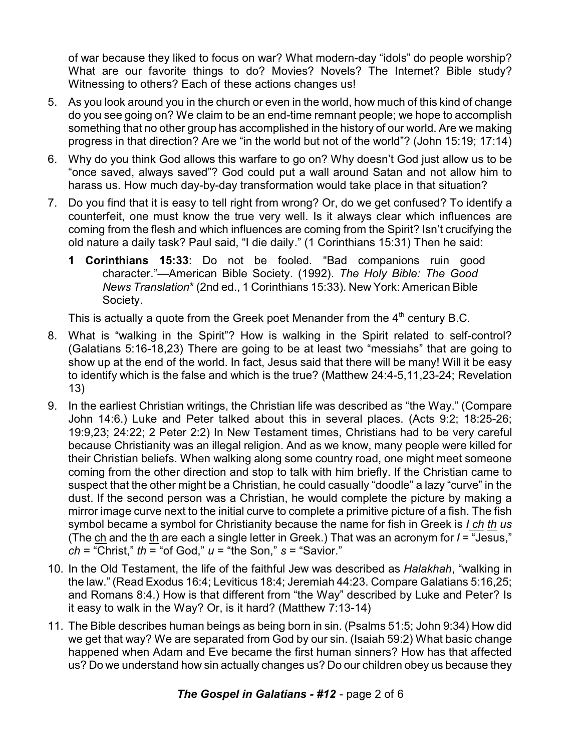of war because they liked to focus on war? What modern-day "idols" do people worship? What are our favorite things to do? Movies? Novels? The Internet? Bible study? Witnessing to others? Each of these actions changes us!

- 5. As you look around you in the church or even in the world, how much of this kind of change do you see going on? We claim to be an end-time remnant people; we hope to accomplish something that no other group has accomplished in the history of our world. Are we making progress in that direction? Are we "in the world but not of the world"? (John 15:19; 17:14)
- 6. Why do you think God allows this warfare to go on? Why doesn't God just allow us to be "once saved, always saved"? God could put a wall around Satan and not allow him to harass us. How much day-by-day transformation would take place in that situation?
- 7. Do you find that it is easy to tell right from wrong? Or, do we get confused? To identify a counterfeit, one must know the true very well. Is it always clear which influences are coming from the flesh and which influences are coming from the Spirit? Isn't crucifying the old nature a daily task? Paul said, "I die daily." (1 Corinthians 15:31) Then he said:
	- **1 Corinthians 15:33**: Do not be fooled. "Bad companions ruin good character."—American Bible Society. (1992). *The Holy Bible: The Good News Translation*\* (2nd ed., 1 Corinthians 15:33). New York: American Bible Society.

This is actually a quote from the Greek poet Menander from the  $4<sup>th</sup>$  century B.C.

- 8. What is "walking in the Spirit"? How is walking in the Spirit related to self-control? (Galatians 5:16-18,23) There are going to be at least two "messiahs" that are going to show up at the end of the world. In fact, Jesus said that there will be many! Will it be easy to identify which is the false and which is the true? (Matthew 24:4-5,11,23-24; Revelation 13)
- 9. In the earliest Christian writings, the Christian life was described as "the Way." (Compare John 14:6.) Luke and Peter talked about this in several places. (Acts 9:2; 18:25-26; 19:9,23; 24:22; 2 Peter 2:2) In New Testament times, Christians had to be very careful because Christianity was an illegal religion. And as we know, many people were killed for their Christian beliefs. When walking along some country road, one might meet someone coming from the other direction and stop to talk with him briefly. If the Christian came to suspect that the other might be a Christian, he could casually "doodle" a lazy "curve" in the dust. If the second person was a Christian, he would complete the picture by making a mirror image curve next to the initial curve to complete a primitive picture of a fish. The fish symbol became a symbol for Christianity because the name for fish in Greek is *I ch th us* (The ch and the th are each a single letter in Greek.) That was an acronym for *I* = "Jesus," *ch* = "Christ," *th* = "of God," *u* = "the Son," *s* = "Savior."
- 10. In the Old Testament, the life of the faithful Jew was described as *Halakhah*, "walking in the law." (Read Exodus 16:4; Leviticus 18:4; Jeremiah 44:23. Compare Galatians 5:16,25; and Romans 8:4.) How is that different from "the Way" described by Luke and Peter? Is it easy to walk in the Way? Or, is it hard? (Matthew 7:13-14)
- 11. The Bible describes human beings as being born in sin. (Psalms 51:5; John 9:34) How did we get that way? We are separated from God by our sin. (Isaiah 59:2) What basic change happened when Adam and Eve became the first human sinners? How has that affected us? Do we understand how sin actually changes us? Do our children obey us because they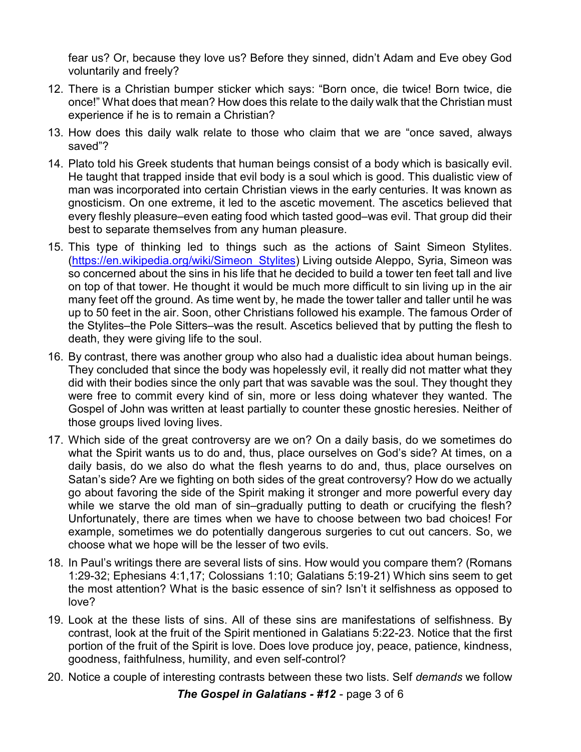fear us? Or, because they love us? Before they sinned, didn't Adam and Eve obey God voluntarily and freely?

- 12. There is a Christian bumper sticker which says: "Born once, die twice! Born twice, die once!" What does that mean? How does this relate to the daily walk that the Christian must experience if he is to remain a Christian?
- 13. How does this daily walk relate to those who claim that we are "once saved, always saved"?
- 14. Plato told his Greek students that human beings consist of a body which is basically evil. He taught that trapped inside that evil body is a soul which is good. This dualistic view of man was incorporated into certain Christian views in the early centuries. It was known as gnosticism. On one extreme, it led to the ascetic movement. The ascetics believed that every fleshly pleasure–even eating food which tasted good–was evil. That group did their best to separate themselves from any human pleasure.
- 15. This type of thinking led to things such as the actions of Saint Simeon Stylites. [\(https://en.wikipedia.org/wiki/Simeon\\_Stylites](https://en.wikipedia.org/wiki/Simeon_Stylites)) Living outside Aleppo, Syria, Simeon was so concerned about the sins in his life that he decided to build a tower ten feet tall and live on top of that tower. He thought it would be much more difficult to sin living up in the air many feet off the ground. As time went by, he made the tower taller and taller until he was up to 50 feet in the air. Soon, other Christians followed his example. The famous Order of the Stylites–the Pole Sitters–was the result. Ascetics believed that by putting the flesh to death, they were giving life to the soul.
- 16. By contrast, there was another group who also had a dualistic idea about human beings. They concluded that since the body was hopelessly evil, it really did not matter what they did with their bodies since the only part that was savable was the soul. They thought they were free to commit every kind of sin, more or less doing whatever they wanted. The Gospel of John was written at least partially to counter these gnostic heresies. Neither of those groups lived loving lives.
- 17. Which side of the great controversy are we on? On a daily basis, do we sometimes do what the Spirit wants us to do and, thus, place ourselves on God's side? At times, on a daily basis, do we also do what the flesh yearns to do and, thus, place ourselves on Satan's side? Are we fighting on both sides of the great controversy? How do we actually go about favoring the side of the Spirit making it stronger and more powerful every day while we starve the old man of sin–gradually putting to death or crucifying the flesh? Unfortunately, there are times when we have to choose between two bad choices! For example, sometimes we do potentially dangerous surgeries to cut out cancers. So, we choose what we hope will be the lesser of two evils.
- 18. In Paul's writings there are several lists of sins. How would you compare them? (Romans 1:29-32; Ephesians 4:1,17; Colossians 1:10; Galatians 5:19-21) Which sins seem to get the most attention? What is the basic essence of sin? Isn't it selfishness as opposed to love?
- 19. Look at the these lists of sins. All of these sins are manifestations of selfishness. By contrast, look at the fruit of the Spirit mentioned in Galatians 5:22-23. Notice that the first portion of the fruit of the Spirit is love. Does love produce joy, peace, patience, kindness, goodness, faithfulness, humility, and even self-control?
- 20. Notice a couple of interesting contrasts between these two lists. Self *demands* we follow

*The Gospel in Galatians - #12* - page 3 of 6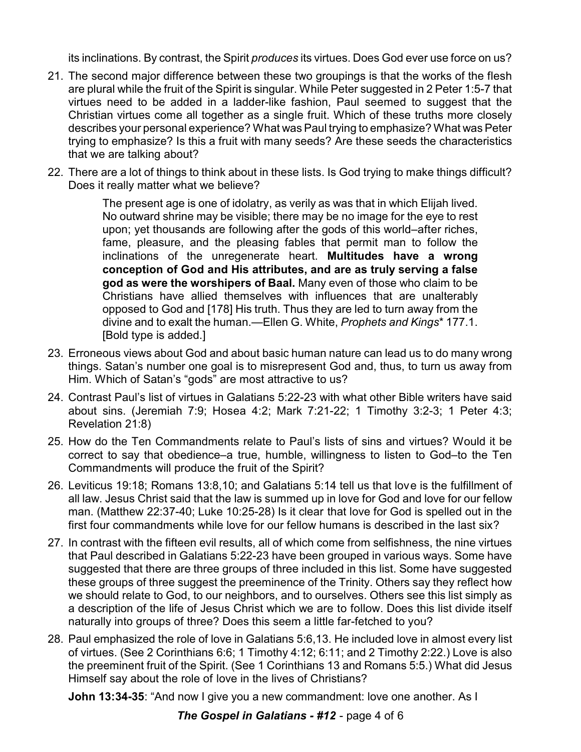its inclinations. By contrast, the Spirit *produces* its virtues. Does God ever use force on us?

- 21. The second major difference between these two groupings is that the works of the flesh are plural while the fruit of the Spirit is singular. While Peter suggested in 2 Peter 1:5-7 that virtues need to be added in a ladder-like fashion, Paul seemed to suggest that the Christian virtues come all together as a single fruit. Which of these truths more closely describes your personal experience? What was Paul trying to emphasize? What was Peter trying to emphasize? Is this a fruit with many seeds? Are these seeds the characteristics that we are talking about?
- 22. There are a lot of things to think about in these lists. Is God trying to make things difficult? Does it really matter what we believe?

The present age is one of idolatry, as verily as was that in which Elijah lived. No outward shrine may be visible; there may be no image for the eye to rest upon; yet thousands are following after the gods of this world–after riches, fame, pleasure, and the pleasing fables that permit man to follow the inclinations of the unregenerate heart. **Multitudes have a wrong conception of God and His attributes, and are as truly serving a false god as were the worshipers of Baal.** Many even of those who claim to be Christians have allied themselves with influences that are unalterably opposed to God and [178] His truth. Thus they are led to turn away from the divine and to exalt the human.—Ellen G. White, *Prophets and Kings*\* 177.1. [Bold type is added.]

- 23. Erroneous views about God and about basic human nature can lead us to do many wrong things. Satan's number one goal is to misrepresent God and, thus, to turn us away from Him. Which of Satan's "gods" are most attractive to us?
- 24. Contrast Paul's list of virtues in Galatians 5:22-23 with what other Bible writers have said about sins. (Jeremiah 7:9; Hosea 4:2; Mark 7:21-22; 1 Timothy 3:2-3; 1 Peter 4:3; Revelation 21:8)
- 25. How do the Ten Commandments relate to Paul's lists of sins and virtues? Would it be correct to say that obedience–a true, humble, willingness to listen to God–to the Ten Commandments will produce the fruit of the Spirit?
- 26. Leviticus 19:18; Romans 13:8,10; and Galatians 5:14 tell us that love is the fulfillment of all law. Jesus Christ said that the law is summed up in love for God and love for our fellow man. (Matthew 22:37-40; Luke 10:25-28) Is it clear that love for God is spelled out in the first four commandments while love for our fellow humans is described in the last six?
- 27. In contrast with the fifteen evil results, all of which come from selfishness, the nine virtues that Paul described in Galatians 5:22-23 have been grouped in various ways. Some have suggested that there are three groups of three included in this list. Some have suggested these groups of three suggest the preeminence of the Trinity. Others say they reflect how we should relate to God, to our neighbors, and to ourselves. Others see this list simply as a description of the life of Jesus Christ which we are to follow. Does this list divide itself naturally into groups of three? Does this seem a little far-fetched to you?
- 28. Paul emphasized the role of love in Galatians 5:6,13. He included love in almost every list of virtues. (See 2 Corinthians 6:6; 1 Timothy 4:12; 6:11; and 2 Timothy 2:22.) Love is also the preeminent fruit of the Spirit. (See 1 Corinthians 13 and Romans 5:5.) What did Jesus Himself say about the role of love in the lives of Christians?

**John 13:34-35**: "And now I give you a new commandment: love one another. As I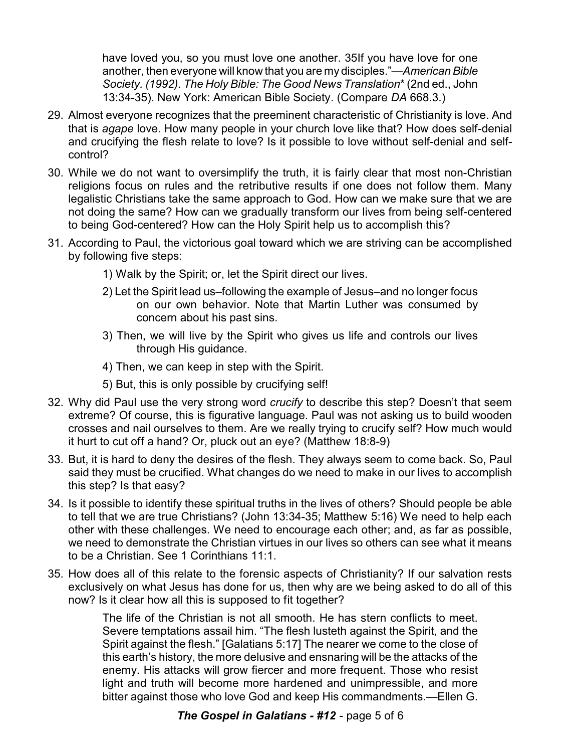have loved you, so you must love one another. 35If you have love for one another, then everyone will know that you are my disciples."—*American Bible Society. (1992). The Holy Bible: The Good News Translation*\* (2nd ed., John 13:34-35). New York: American Bible Society. (Compare *DA* 668.3.)

- 29. Almost everyone recognizes that the preeminent characteristic of Christianity is love. And that is *agape* love. How many people in your church love like that? How does self-denial and crucifying the flesh relate to love? Is it possible to love without self-denial and selfcontrol?
- 30. While we do not want to oversimplify the truth, it is fairly clear that most non-Christian religions focus on rules and the retributive results if one does not follow them. Many legalistic Christians take the same approach to God. How can we make sure that we are not doing the same? How can we gradually transform our lives from being self-centered to being God-centered? How can the Holy Spirit help us to accomplish this?
- 31. According to Paul, the victorious goal toward which we are striving can be accomplished by following five steps:
	- 1) Walk by the Spirit; or, let the Spirit direct our lives.
	- 2) Let the Spirit lead us–following the example of Jesus–and no longer focus on our own behavior. Note that Martin Luther was consumed by concern about his past sins.
	- 3) Then, we will live by the Spirit who gives us life and controls our lives through His guidance.
	- 4) Then, we can keep in step with the Spirit.
	- 5) But, this is only possible by crucifying self!
- 32. Why did Paul use the very strong word *crucify* to describe this step? Doesn't that seem extreme? Of course, this is figurative language. Paul was not asking us to build wooden crosses and nail ourselves to them. Are we really trying to crucify self? How much would it hurt to cut off a hand? Or, pluck out an eye? (Matthew 18:8-9)
- 33. But, it is hard to deny the desires of the flesh. They always seem to come back. So, Paul said they must be crucified. What changes do we need to make in our lives to accomplish this step? Is that easy?
- 34. Is it possible to identify these spiritual truths in the lives of others? Should people be able to tell that we are true Christians? (John 13:34-35; Matthew 5:16) We need to help each other with these challenges. We need to encourage each other; and, as far as possible, we need to demonstrate the Christian virtues in our lives so others can see what it means to be a Christian. See 1 Corinthians 11:1.
- 35. How does all of this relate to the forensic aspects of Christianity? If our salvation rests exclusively on what Jesus has done for us, then why are we being asked to do all of this now? Is it clear how all this is supposed to fit together?

The life of the Christian is not all smooth. He has stern conflicts to meet. Severe temptations assail him. "The flesh lusteth against the Spirit, and the Spirit against the flesh." [Galatians 5:17] The nearer we come to the close of this earth's history, the more delusive and ensnaring will be the attacks of the enemy. His attacks will grow fiercer and more frequent. Those who resist light and truth will become more hardened and unimpressible, and more bitter against those who love God and keep His commandments.—Ellen G.